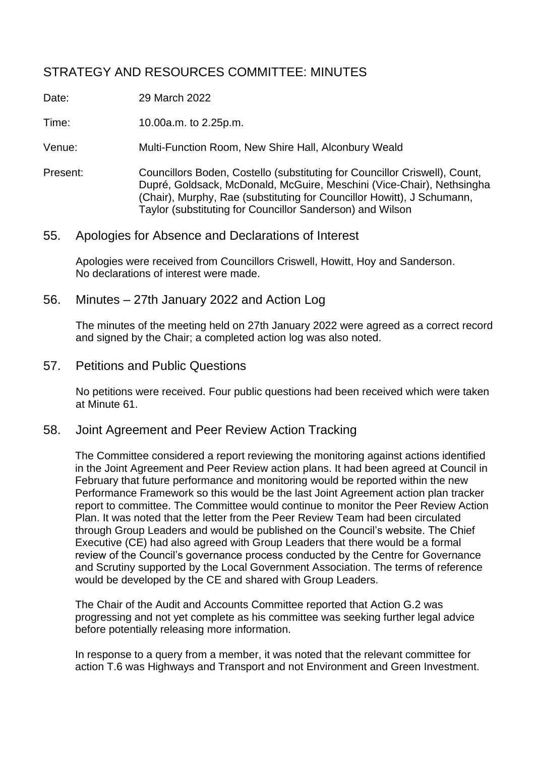# STRATEGY AND RESOURCES COMMITTEE: MINUTES

Date: 29 March 2022

Time: 10.00a.m. to 2.25p.m.

Venue: Multi-Function Room, New Shire Hall, Alconbury Weald

- Present: Councillors Boden, Costello (substituting for Councillor Criswell), Count, Dupré, Goldsack, McDonald, McGuire, Meschini (Vice-Chair), Nethsingha (Chair), Murphy, Rae (substituting for Councillor Howitt), J Schumann, Taylor (substituting for Councillor Sanderson) and Wilson
- 55. Apologies for Absence and Declarations of Interest

Apologies were received from Councillors Criswell, Howitt, Hoy and Sanderson. No declarations of interest were made.

56. Minutes – 27th January 2022 and Action Log

The minutes of the meeting held on 27th January 2022 were agreed as a correct record and signed by the Chair; a completed action log was also noted.

57. Petitions and Public Questions

No petitions were received. Four public questions had been received which were taken at Minute 61.

58. Joint Agreement and Peer Review Action Tracking

The Committee considered a report reviewing the monitoring against actions identified in the Joint Agreement and Peer Review action plans. It had been agreed at Council in February that future performance and monitoring would be reported within the new Performance Framework so this would be the last Joint Agreement action plan tracker report to committee. The Committee would continue to monitor the Peer Review Action Plan. It was noted that the letter from the Peer Review Team had been circulated through Group Leaders and would be published on the Council's website. The Chief Executive (CE) had also agreed with Group Leaders that there would be a formal review of the Council's governance process conducted by the Centre for Governance and Scrutiny supported by the Local Government Association. The terms of reference would be developed by the CE and shared with Group Leaders.

The Chair of the Audit and Accounts Committee reported that Action G.2 was progressing and not yet complete as his committee was seeking further legal advice before potentially releasing more information.

In response to a query from a member, it was noted that the relevant committee for action T.6 was Highways and Transport and not Environment and Green Investment.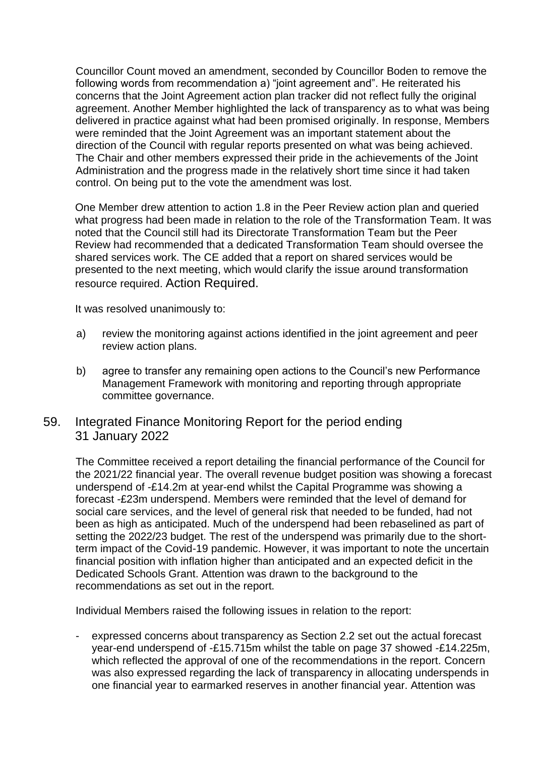Councillor Count moved an amendment, seconded by Councillor Boden to remove the following words from recommendation a) "joint agreement and". He reiterated his concerns that the Joint Agreement action plan tracker did not reflect fully the original agreement. Another Member highlighted the lack of transparency as to what was being delivered in practice against what had been promised originally. In response, Members were reminded that the Joint Agreement was an important statement about the direction of the Council with regular reports presented on what was being achieved. The Chair and other members expressed their pride in the achievements of the Joint Administration and the progress made in the relatively short time since it had taken control. On being put to the vote the amendment was lost.

One Member drew attention to action 1.8 in the Peer Review action plan and queried what progress had been made in relation to the role of the Transformation Team. It was noted that the Council still had its Directorate Transformation Team but the Peer Review had recommended that a dedicated Transformation Team should oversee the shared services work. The CE added that a report on shared services would be presented to the next meeting, which would clarify the issue around transformation resource required. Action Required.

It was resolved unanimously to:

- a) review the monitoring against actions identified in the joint agreement and peer review action plans.
- b) agree to transfer any remaining open actions to the Council's new Performance Management Framework with monitoring and reporting through appropriate committee governance.

### 59. Integrated Finance Monitoring Report for the period ending 31 January 2022

The Committee received a report detailing the financial performance of the Council for the 2021/22 financial year. The overall revenue budget position was showing a forecast underspend of -£14.2m at year-end whilst the Capital Programme was showing a forecast -£23m underspend. Members were reminded that the level of demand for social care services, and the level of general risk that needed to be funded, had not been as high as anticipated. Much of the underspend had been rebaselined as part of setting the 2022/23 budget. The rest of the underspend was primarily due to the shortterm impact of the Covid-19 pandemic. However, it was important to note the uncertain financial position with inflation higher than anticipated and an expected deficit in the Dedicated Schools Grant. Attention was drawn to the background to the recommendations as set out in the report.

Individual Members raised the following issues in relation to the report:

expressed concerns about transparency as Section 2.2 set out the actual forecast year-end underspend of -£15.715m whilst the table on page 37 showed -£14.225m, which reflected the approval of one of the recommendations in the report. Concern was also expressed regarding the lack of transparency in allocating underspends in one financial year to earmarked reserves in another financial year. Attention was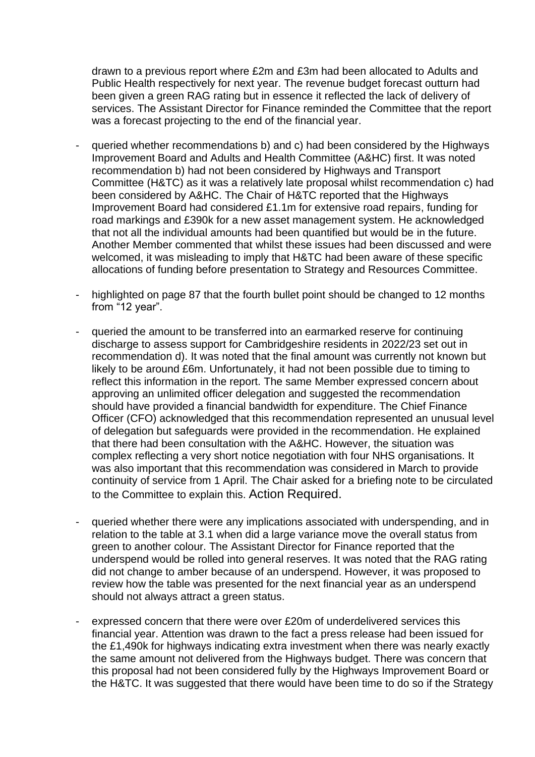drawn to a previous report where £2m and £3m had been allocated to Adults and Public Health respectively for next year. The revenue budget forecast outturn had been given a green RAG rating but in essence it reflected the lack of delivery of services. The Assistant Director for Finance reminded the Committee that the report was a forecast projecting to the end of the financial year.

- queried whether recommendations b) and c) had been considered by the Highways Improvement Board and Adults and Health Committee (A&HC) first. It was noted recommendation b) had not been considered by Highways and Transport Committee (H&TC) as it was a relatively late proposal whilst recommendation c) had been considered by A&HC. The Chair of H&TC reported that the Highways Improvement Board had considered £1.1m for extensive road repairs, funding for road markings and £390k for a new asset management system. He acknowledged that not all the individual amounts had been quantified but would be in the future. Another Member commented that whilst these issues had been discussed and were welcomed, it was misleading to imply that H&TC had been aware of these specific allocations of funding before presentation to Strategy and Resources Committee.
- highlighted on page 87 that the fourth bullet point should be changed to 12 months from "12 year".
- queried the amount to be transferred into an earmarked reserve for continuing discharge to assess support for Cambridgeshire residents in 2022/23 set out in recommendation d). It was noted that the final amount was currently not known but likely to be around £6m. Unfortunately, it had not been possible due to timing to reflect this information in the report. The same Member expressed concern about approving an unlimited officer delegation and suggested the recommendation should have provided a financial bandwidth for expenditure. The Chief Finance Officer (CFO) acknowledged that this recommendation represented an unusual level of delegation but safeguards were provided in the recommendation. He explained that there had been consultation with the A&HC. However, the situation was complex reflecting a very short notice negotiation with four NHS organisations. It was also important that this recommendation was considered in March to provide continuity of service from 1 April. The Chair asked for a briefing note to be circulated to the Committee to explain this. Action Required.
- queried whether there were any implications associated with underspending, and in relation to the table at 3.1 when did a large variance move the overall status from green to another colour. The Assistant Director for Finance reported that the underspend would be rolled into general reserves. It was noted that the RAG rating did not change to amber because of an underspend. However, it was proposed to review how the table was presented for the next financial year as an underspend should not always attract a green status.
- expressed concern that there were over £20m of underdelivered services this financial year. Attention was drawn to the fact a press release had been issued for the £1,490k for highways indicating extra investment when there was nearly exactly the same amount not delivered from the Highways budget. There was concern that this proposal had not been considered fully by the Highways Improvement Board or the H&TC. It was suggested that there would have been time to do so if the Strategy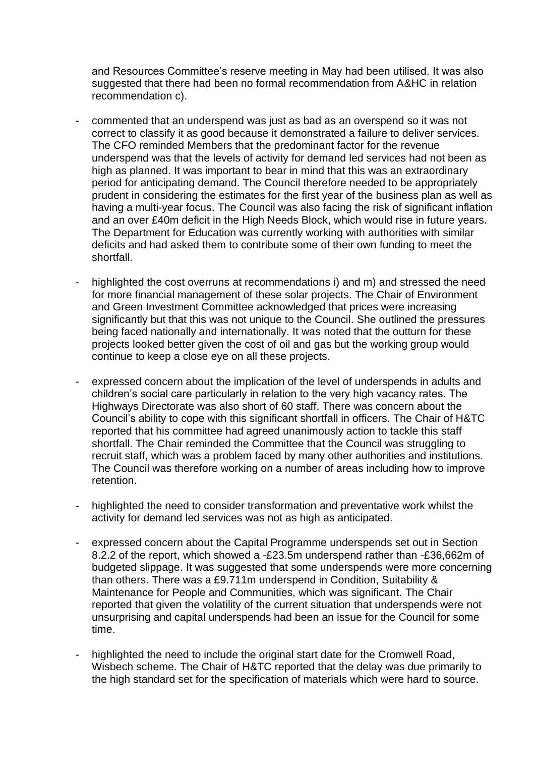and Resources Committee's reserve meeting in May had been utilised. It was also suggested that there had been no formal recommendation from A&HC in relation recommendation c).

- commented that an underspend was just as bad as an overspend so it was not correct to classify it as good because it demonstrated a failure to deliver services. The CFO reminded Members that the predominant factor for the revenue underspend was that the levels of activity for demand led services had not been as high as planned. It was important to bear in mind that this was an extraordinary period for anticipating demand. The Council therefore needed to be appropriately prudent in considering the estimates for the first year of the business plan as well as having a multi-year focus. The Council was also facing the risk of significant inflation and an over £40m deficit in the High Needs Block, which would rise in future years. The Department for Education was currently working with authorities with similar deficits and had asked them to contribute some of their own funding to meet the shortfall.
- highlighted the cost overruns at recommendations i) and m) and stressed the need for more financial management of these solar projects. The Chair of Environment and Green Investment Committee acknowledged that prices were increasing significantly but that this was not unique to the Council. She outlined the pressures being faced nationally and internationally. It was noted that the outturn for these projects looked better given the cost of oil and gas but the working group would continue to keep a close eye on all these projects.
- expressed concern about the implication of the level of underspends in adults and children's social care particularly in relation to the very high vacancy rates. The Highways Directorate was also short of 60 staff. There was concern about the Council's ability to cope with this significant shortfall in officers. The Chair of H&TC reported that his committee had agreed unanimously action to tackle this staff shortfall. The Chair reminded the Committee that the Council was struggling to recruit staff, which was a problem faced by many other authorities and institutions. The Council was therefore working on a number of areas including how to improve retention.
- highlighted the need to consider transformation and preventative work whilst the activity for demand led services was not as high as anticipated.
- expressed concern about the Capital Programme underspends set out in Section 8.2.2 of the report, which showed a -£23.5m underspend rather than -£36,662m of budgeted slippage. It was suggested that some underspends were more concerning than others. There was a £9.711m underspend in Condition, Suitability & Maintenance for People and Communities, which was significant. The Chair reported that given the volatility of the current situation that underspends were not unsurprising and capital underspends had been an issue for the Council for some time.
- highlighted the need to include the original start date for the Cromwell Road, Wisbech scheme. The Chair of H&TC reported that the delay was due primarily to the high standard set for the specification of materials which were hard to source.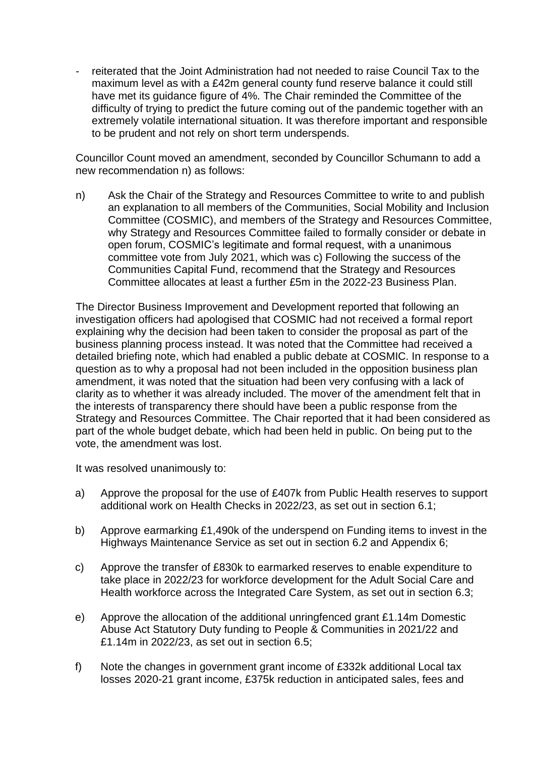- reiterated that the Joint Administration had not needed to raise Council Tax to the maximum level as with a £42m general county fund reserve balance it could still have met its guidance figure of 4%. The Chair reminded the Committee of the difficulty of trying to predict the future coming out of the pandemic together with an extremely volatile international situation. It was therefore important and responsible to be prudent and not rely on short term underspends.

Councillor Count moved an amendment, seconded by Councillor Schumann to add a new recommendation n) as follows:

n) Ask the Chair of the Strategy and Resources Committee to write to and publish an explanation to all members of the Communities, Social Mobility and Inclusion Committee (COSMIC), and members of the Strategy and Resources Committee, why Strategy and Resources Committee failed to formally consider or debate in open forum, COSMIC's legitimate and formal request, with a unanimous committee vote from July 2021, which was c) Following the success of the Communities Capital Fund, recommend that the Strategy and Resources Committee allocates at least a further £5m in the 2022-23 Business Plan.

The Director Business Improvement and Development reported that following an investigation officers had apologised that COSMIC had not received a formal report explaining why the decision had been taken to consider the proposal as part of the business planning process instead. It was noted that the Committee had received a detailed briefing note, which had enabled a public debate at COSMIC. In response to a question as to why a proposal had not been included in the opposition business plan amendment, it was noted that the situation had been very confusing with a lack of clarity as to whether it was already included. The mover of the amendment felt that in the interests of transparency there should have been a public response from the Strategy and Resources Committee. The Chair reported that it had been considered as part of the whole budget debate, which had been held in public. On being put to the vote, the amendment was lost.

It was resolved unanimously to:

- a) Approve the proposal for the use of £407k from Public Health reserves to support additional work on Health Checks in 2022/23, as set out in section 6.1;
- b) Approve earmarking £1,490k of the underspend on Funding items to invest in the Highways Maintenance Service as set out in section 6.2 and Appendix 6;
- c) Approve the transfer of £830k to earmarked reserves to enable expenditure to take place in 2022/23 for workforce development for the Adult Social Care and Health workforce across the Integrated Care System, as set out in section 6.3;
- e) Approve the allocation of the additional unringfenced grant £1.14m Domestic Abuse Act Statutory Duty funding to People & Communities in 2021/22 and £1.14m in 2022/23, as set out in section 6.5;
- f) Note the changes in government grant income of £332k additional Local tax losses 2020-21 grant income, £375k reduction in anticipated sales, fees and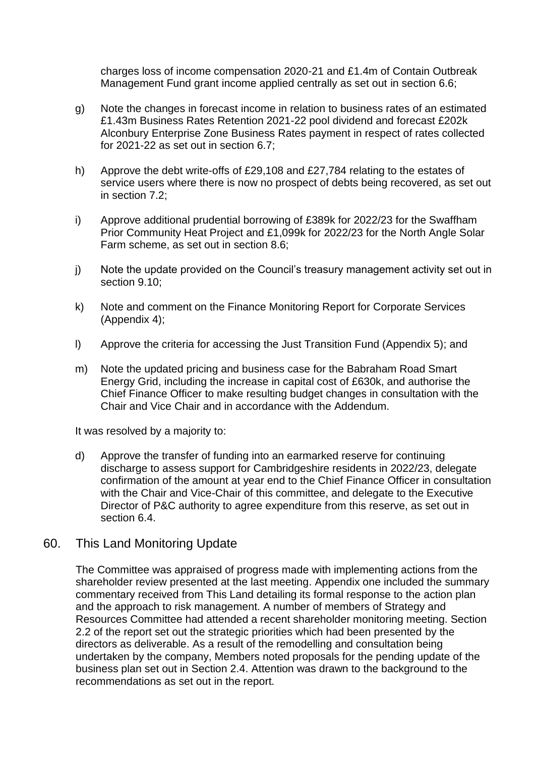charges loss of income compensation 2020-21 and £1.4m of Contain Outbreak Management Fund grant income applied centrally as set out in section 6.6;

- g) Note the changes in forecast income in relation to business rates of an estimated £1.43m Business Rates Retention 2021-22 pool dividend and forecast £202k Alconbury Enterprise Zone Business Rates payment in respect of rates collected for 2021-22 as set out in section 6.7;
- h) Approve the debt write-offs of £29,108 and £27,784 relating to the estates of service users where there is now no prospect of debts being recovered, as set out in section 7.2;
- i) Approve additional prudential borrowing of £389k for 2022/23 for the Swaffham Prior Community Heat Project and £1,099k for 2022/23 for the North Angle Solar Farm scheme, as set out in section 8.6;
- j) Note the update provided on the Council's treasury management activity set out in section 9.10;
- k) Note and comment on the Finance Monitoring Report for Corporate Services (Appendix 4);
- l) Approve the criteria for accessing the Just Transition Fund (Appendix 5); and
- m) Note the updated pricing and business case for the Babraham Road Smart Energy Grid, including the increase in capital cost of £630k, and authorise the Chief Finance Officer to make resulting budget changes in consultation with the Chair and Vice Chair and in accordance with the Addendum.

It was resolved by a majority to:

d) Approve the transfer of funding into an earmarked reserve for continuing discharge to assess support for Cambridgeshire residents in 2022/23, delegate confirmation of the amount at year end to the Chief Finance Officer in consultation with the Chair and Vice-Chair of this committee, and delegate to the Executive Director of P&C authority to agree expenditure from this reserve, as set out in section 6.4.

### 60. This Land Monitoring Update

The Committee was appraised of progress made with implementing actions from the shareholder review presented at the last meeting. Appendix one included the summary commentary received from This Land detailing its formal response to the action plan and the approach to risk management. A number of members of Strategy and Resources Committee had attended a recent shareholder monitoring meeting. Section 2.2 of the report set out the strategic priorities which had been presented by the directors as deliverable. As a result of the remodelling and consultation being undertaken by the company, Members noted proposals for the pending update of the business plan set out in Section 2.4. Attention was drawn to the background to the recommendations as set out in the report.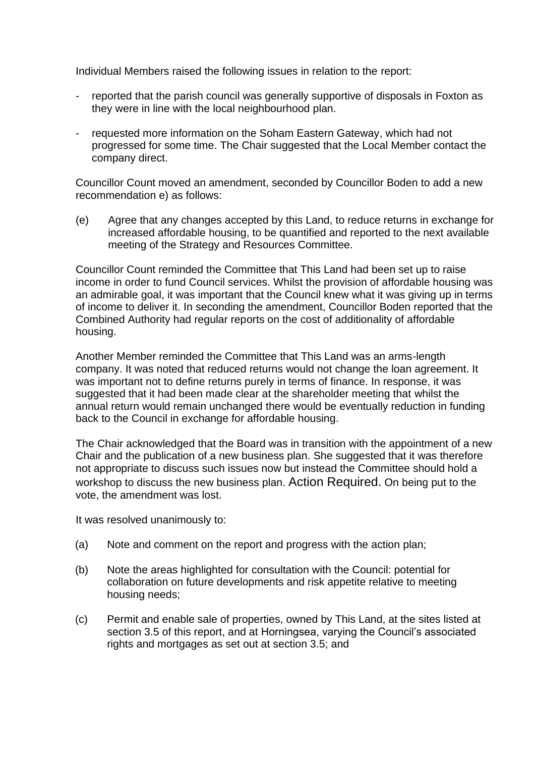Individual Members raised the following issues in relation to the report:

- reported that the parish council was generally supportive of disposals in Foxton as they were in line with the local neighbourhood plan.
- requested more information on the Soham Eastern Gateway, which had not progressed for some time. The Chair suggested that the Local Member contact the company direct.

Councillor Count moved an amendment, seconded by Councillor Boden to add a new recommendation e) as follows:

(e) Agree that any changes accepted by this Land, to reduce returns in exchange for increased affordable housing, to be quantified and reported to the next available meeting of the Strategy and Resources Committee.

Councillor Count reminded the Committee that This Land had been set up to raise income in order to fund Council services. Whilst the provision of affordable housing was an admirable goal, it was important that the Council knew what it was giving up in terms of income to deliver it. In seconding the amendment, Councillor Boden reported that the Combined Authority had regular reports on the cost of additionality of affordable housing.

Another Member reminded the Committee that This Land was an arms-length company. It was noted that reduced returns would not change the loan agreement. It was important not to define returns purely in terms of finance. In response, it was suggested that it had been made clear at the shareholder meeting that whilst the annual return would remain unchanged there would be eventually reduction in funding back to the Council in exchange for affordable housing.

The Chair acknowledged that the Board was in transition with the appointment of a new Chair and the publication of a new business plan. She suggested that it was therefore not appropriate to discuss such issues now but instead the Committee should hold a workshop to discuss the new business plan. Action Required. On being put to the vote, the amendment was lost.

It was resolved unanimously to:

- (a) Note and comment on the report and progress with the action plan;
- (b) Note the areas highlighted for consultation with the Council: potential for collaboration on future developments and risk appetite relative to meeting housing needs;
- (c) Permit and enable sale of properties, owned by This Land, at the sites listed at section 3.5 of this report, and at Horningsea, varying the Council's associated rights and mortgages as set out at section 3.5; and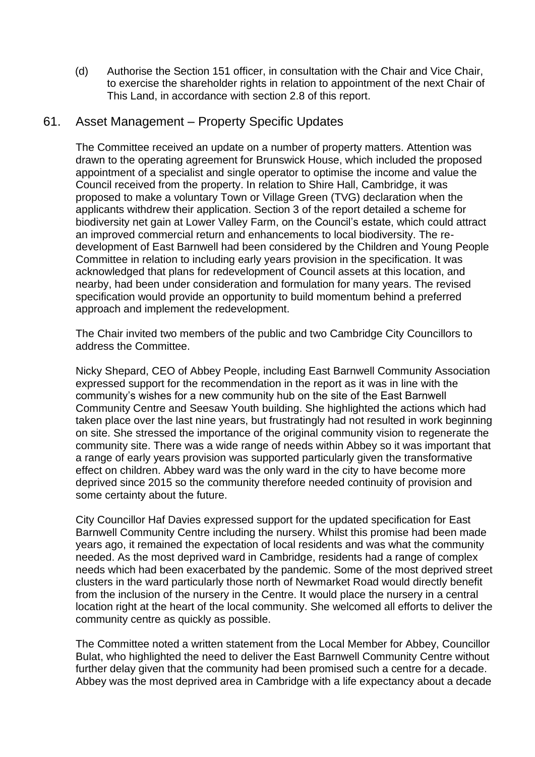(d) Authorise the Section 151 officer, in consultation with the Chair and Vice Chair, to exercise the shareholder rights in relation to appointment of the next Chair of This Land, in accordance with section 2.8 of this report.

### 61. Asset Management – Property Specific Updates

The Committee received an update on a number of property matters. Attention was drawn to the operating agreement for Brunswick House, which included the proposed appointment of a specialist and single operator to optimise the income and value the Council received from the property. In relation to Shire Hall, Cambridge, it was proposed to make a voluntary Town or Village Green (TVG) declaration when the applicants withdrew their application. Section 3 of the report detailed a scheme for biodiversity net gain at Lower Valley Farm, on the Council's estate, which could attract an improved commercial return and enhancements to local biodiversity. The redevelopment of East Barnwell had been considered by the Children and Young People Committee in relation to including early years provision in the specification. It was acknowledged that plans for redevelopment of Council assets at this location, and nearby, had been under consideration and formulation for many years. The revised specification would provide an opportunity to build momentum behind a preferred approach and implement the redevelopment.

The Chair invited two members of the public and two Cambridge City Councillors to address the Committee.

Nicky Shepard, CEO of Abbey People, including East Barnwell Community Association expressed support for the recommendation in the report as it was in line with the community's wishes for a new community hub on the site of the East Barnwell Community Centre and Seesaw Youth building. She highlighted the actions which had taken place over the last nine years, but frustratingly had not resulted in work beginning on site. She stressed the importance of the original community vision to regenerate the community site. There was a wide range of needs within Abbey so it was important that a range of early years provision was supported particularly given the transformative effect on children. Abbey ward was the only ward in the city to have become more deprived since 2015 so the community therefore needed continuity of provision and some certainty about the future.

City Councillor Haf Davies expressed support for the updated specification for East Barnwell Community Centre including the nursery. Whilst this promise had been made years ago, it remained the expectation of local residents and was what the community needed. As the most deprived ward in Cambridge, residents had a range of complex needs which had been exacerbated by the pandemic. Some of the most deprived street clusters in the ward particularly those north of Newmarket Road would directly benefit from the inclusion of the nursery in the Centre. It would place the nursery in a central location right at the heart of the local community. She welcomed all efforts to deliver the community centre as quickly as possible.

The Committee noted a written statement from the Local Member for Abbey, Councillor Bulat, who highlighted the need to deliver the East Barnwell Community Centre without further delay given that the community had been promised such a centre for a decade. Abbey was the most deprived area in Cambridge with a life expectancy about a decade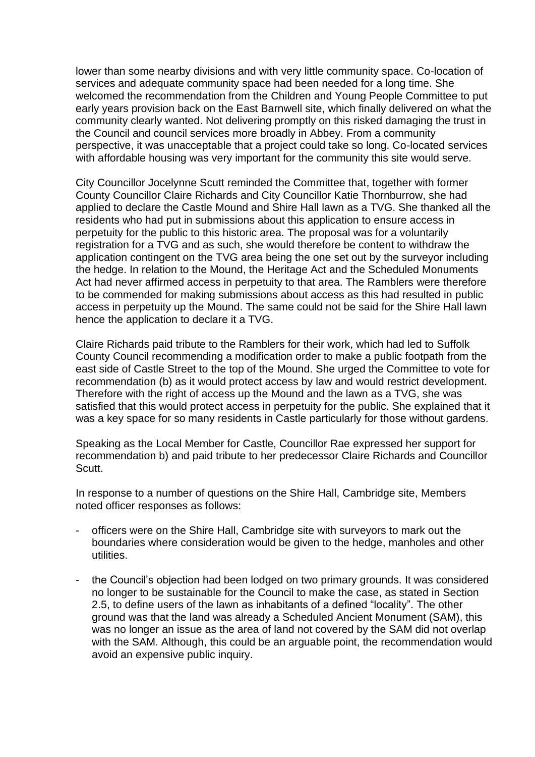lower than some nearby divisions and with very little community space. Co-location of services and adequate community space had been needed for a long time. She welcomed the recommendation from the Children and Young People Committee to put early years provision back on the East Barnwell site, which finally delivered on what the community clearly wanted. Not delivering promptly on this risked damaging the trust in the Council and council services more broadly in Abbey. From a community perspective, it was unacceptable that a project could take so long. Co-located services with affordable housing was very important for the community this site would serve.

City Councillor Jocelynne Scutt reminded the Committee that, together with former County Councillor Claire Richards and City Councillor Katie Thornburrow, she had applied to declare the Castle Mound and Shire Hall lawn as a TVG. She thanked all the residents who had put in submissions about this application to ensure access in perpetuity for the public to this historic area. The proposal was for a voluntarily registration for a TVG and as such, she would therefore be content to withdraw the application contingent on the TVG area being the one set out by the surveyor including the hedge. In relation to the Mound, the Heritage Act and the Scheduled Monuments Act had never affirmed access in perpetuity to that area. The Ramblers were therefore to be commended for making submissions about access as this had resulted in public access in perpetuity up the Mound. The same could not be said for the Shire Hall lawn hence the application to declare it a TVG.

Claire Richards paid tribute to the Ramblers for their work, which had led to Suffolk County Council recommending a modification order to make a public footpath from the east side of Castle Street to the top of the Mound. She urged the Committee to vote for recommendation (b) as it would protect access by law and would restrict development. Therefore with the right of access up the Mound and the lawn as a TVG, she was satisfied that this would protect access in perpetuity for the public. She explained that it was a key space for so many residents in Castle particularly for those without gardens.

Speaking as the Local Member for Castle, Councillor Rae expressed her support for recommendation b) and paid tribute to her predecessor Claire Richards and Councillor Scutt.

In response to a number of questions on the Shire Hall, Cambridge site, Members noted officer responses as follows:

- officers were on the Shire Hall, Cambridge site with surveyors to mark out the boundaries where consideration would be given to the hedge, manholes and other utilities.
- the Council's objection had been lodged on two primary grounds. It was considered no longer to be sustainable for the Council to make the case, as stated in Section 2.5, to define users of the lawn as inhabitants of a defined "locality". The other ground was that the land was already a Scheduled Ancient Monument (SAM), this was no longer an issue as the area of land not covered by the SAM did not overlap with the SAM. Although, this could be an arguable point, the recommendation would avoid an expensive public inquiry.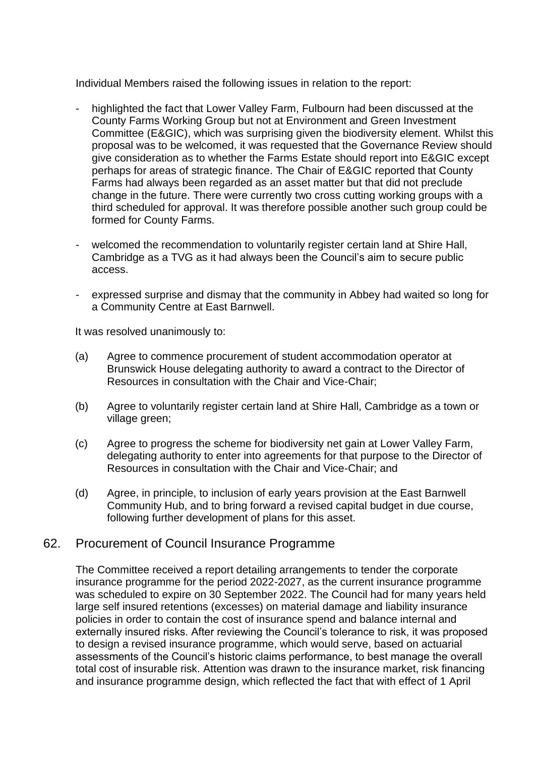Individual Members raised the following issues in relation to the report:

- highlighted the fact that Lower Valley Farm, Fulbourn had been discussed at the County Farms Working Group but not at Environment and Green Investment Committee (E&GIC), which was surprising given the biodiversity element. Whilst this proposal was to be welcomed, it was requested that the Governance Review should give consideration as to whether the Farms Estate should report into E&GIC except perhaps for areas of strategic finance. The Chair of E&GIC reported that County Farms had always been regarded as an asset matter but that did not preclude change in the future. There were currently two cross cutting working groups with a third scheduled for approval. It was therefore possible another such group could be formed for County Farms.
- welcomed the recommendation to voluntarily register certain land at Shire Hall, Cambridge as a TVG as it had always been the Council's aim to secure public access.
- expressed surprise and dismay that the community in Abbey had waited so long for a Community Centre at East Barnwell.

It was resolved unanimously to:

- (a) Agree to commence procurement of student accommodation operator at Brunswick House delegating authority to award a contract to the Director of Resources in consultation with the Chair and Vice-Chair;
- (b) Agree to voluntarily register certain land at Shire Hall, Cambridge as a town or village green;
- (c) Agree to progress the scheme for biodiversity net gain at Lower Valley Farm, delegating authority to enter into agreements for that purpose to the Director of Resources in consultation with the Chair and Vice-Chair; and
- (d) Agree, in principle, to inclusion of early years provision at the East Barnwell Community Hub, and to bring forward a revised capital budget in due course, following further development of plans for this asset.

### 62. Procurement of Council Insurance Programme

The Committee received a report detailing arrangements to tender the corporate insurance programme for the period 2022-2027, as the current insurance programme was scheduled to expire on 30 September 2022. The Council had for many years held large self insured retentions (excesses) on material damage and liability insurance policies in order to contain the cost of insurance spend and balance internal and externally insured risks. After reviewing the Council's tolerance to risk, it was proposed to design a revised insurance programme, which would serve, based on actuarial assessments of the Council's historic claims performance, to best manage the overall total cost of insurable risk. Attention was drawn to the insurance market, risk financing and insurance programme design, which reflected the fact that with effect of 1 April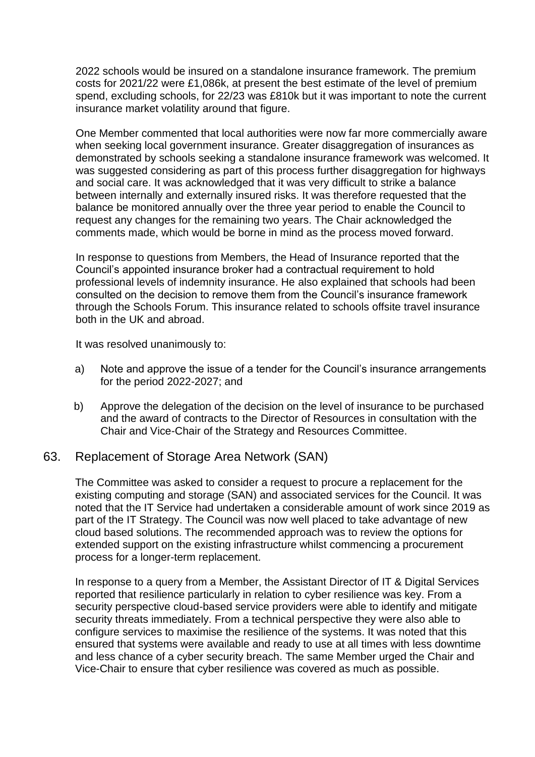2022 schools would be insured on a standalone insurance framework. The premium costs for 2021/22 were £1,086k, at present the best estimate of the level of premium spend, excluding schools, for 22/23 was £810k but it was important to note the current insurance market volatility around that figure.

One Member commented that local authorities were now far more commercially aware when seeking local government insurance. Greater disaggregation of insurances as demonstrated by schools seeking a standalone insurance framework was welcomed. It was suggested considering as part of this process further disaggregation for highways and social care. It was acknowledged that it was very difficult to strike a balance between internally and externally insured risks. It was therefore requested that the balance be monitored annually over the three year period to enable the Council to request any changes for the remaining two years. The Chair acknowledged the comments made, which would be borne in mind as the process moved forward.

In response to questions from Members, the Head of Insurance reported that the Council's appointed insurance broker had a contractual requirement to hold professional levels of indemnity insurance. He also explained that schools had been consulted on the decision to remove them from the Council's insurance framework through the Schools Forum. This insurance related to schools offsite travel insurance both in the UK and abroad.

It was resolved unanimously to:

- a) Note and approve the issue of a tender for the Council's insurance arrangements for the period 2022-2027; and
- b) Approve the delegation of the decision on the level of insurance to be purchased and the award of contracts to the Director of Resources in consultation with the Chair and Vice-Chair of the Strategy and Resources Committee.

### 63. Replacement of Storage Area Network (SAN)

The Committee was asked to consider a request to procure a replacement for the existing computing and storage (SAN) and associated services for the Council. It was noted that the IT Service had undertaken a considerable amount of work since 2019 as part of the IT Strategy. The Council was now well placed to take advantage of new cloud based solutions. The recommended approach was to review the options for extended support on the existing infrastructure whilst commencing a procurement process for a longer-term replacement.

In response to a query from a Member, the Assistant Director of IT & Digital Services reported that resilience particularly in relation to cyber resilience was key. From a security perspective cloud-based service providers were able to identify and mitigate security threats immediately. From a technical perspective they were also able to configure services to maximise the resilience of the systems. It was noted that this ensured that systems were available and ready to use at all times with less downtime and less chance of a cyber security breach. The same Member urged the Chair and Vice-Chair to ensure that cyber resilience was covered as much as possible.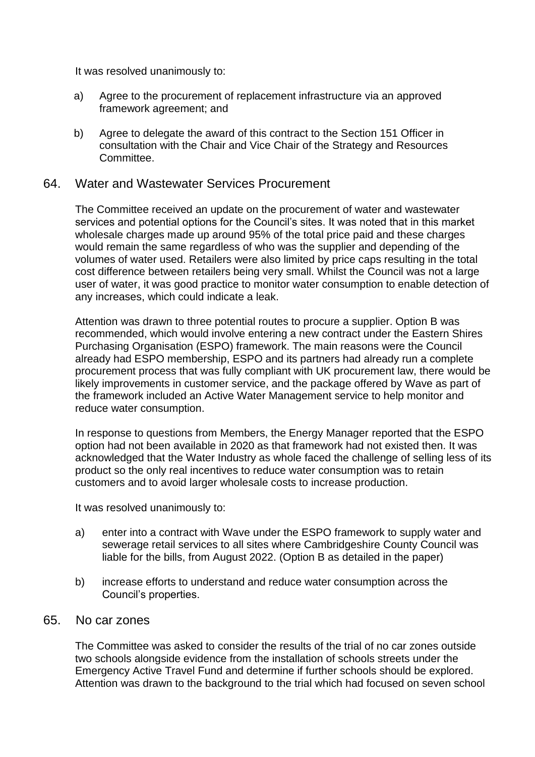It was resolved unanimously to:

- a) Agree to the procurement of replacement infrastructure via an approved framework agreement; and
- b) Agree to delegate the award of this contract to the Section 151 Officer in consultation with the Chair and Vice Chair of the Strategy and Resources Committee.

### 64. Water and Wastewater Services Procurement

The Committee received an update on the procurement of water and wastewater services and potential options for the Council's sites. It was noted that in this market wholesale charges made up around 95% of the total price paid and these charges would remain the same regardless of who was the supplier and depending of the volumes of water used. Retailers were also limited by price caps resulting in the total cost difference between retailers being very small. Whilst the Council was not a large user of water, it was good practice to monitor water consumption to enable detection of any increases, which could indicate a leak.

Attention was drawn to three potential routes to procure a supplier. Option B was recommended, which would involve entering a new contract under the Eastern Shires Purchasing Organisation (ESPO) framework. The main reasons were the Council already had ESPO membership, ESPO and its partners had already run a complete procurement process that was fully compliant with UK procurement law, there would be likely improvements in customer service, and the package offered by Wave as part of the framework included an Active Water Management service to help monitor and reduce water consumption.

In response to questions from Members, the Energy Manager reported that the ESPO option had not been available in 2020 as that framework had not existed then. It was acknowledged that the Water Industry as whole faced the challenge of selling less of its product so the only real incentives to reduce water consumption was to retain customers and to avoid larger wholesale costs to increase production.

It was resolved unanimously to:

- a) enter into a contract with Wave under the ESPO framework to supply water and sewerage retail services to all sites where Cambridgeshire County Council was liable for the bills, from August 2022. (Option B as detailed in the paper)
- b) increase efforts to understand and reduce water consumption across the Council's properties.

## 65. No car zones

The Committee was asked to consider the results of the trial of no car zones outside two schools alongside evidence from the installation of schools streets under the Emergency Active Travel Fund and determine if further schools should be explored. Attention was drawn to the background to the trial which had focused on seven school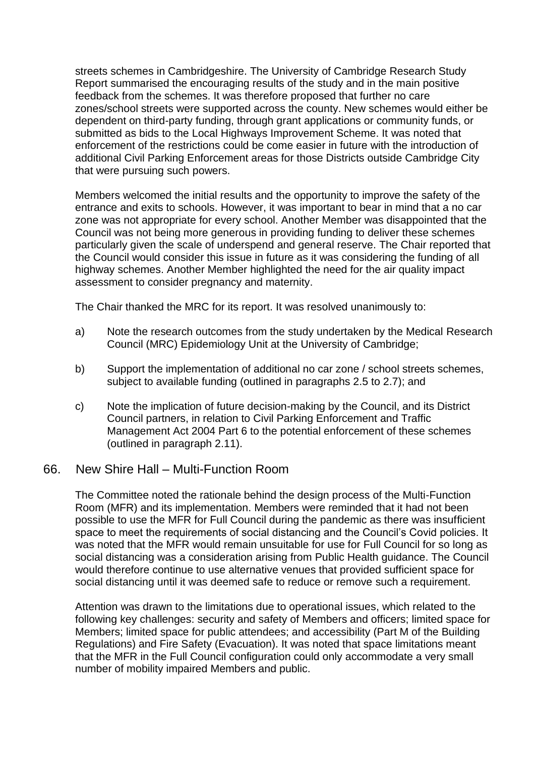streets schemes in Cambridgeshire. The University of Cambridge Research Study Report summarised the encouraging results of the study and in the main positive feedback from the schemes. It was therefore proposed that further no care zones/school streets were supported across the county. New schemes would either be dependent on third-party funding, through grant applications or community funds, or submitted as bids to the Local Highways Improvement Scheme. It was noted that enforcement of the restrictions could be come easier in future with the introduction of additional Civil Parking Enforcement areas for those Districts outside Cambridge City that were pursuing such powers.

Members welcomed the initial results and the opportunity to improve the safety of the entrance and exits to schools. However, it was important to bear in mind that a no car zone was not appropriate for every school. Another Member was disappointed that the Council was not being more generous in providing funding to deliver these schemes particularly given the scale of underspend and general reserve. The Chair reported that the Council would consider this issue in future as it was considering the funding of all highway schemes. Another Member highlighted the need for the air quality impact assessment to consider pregnancy and maternity.

The Chair thanked the MRC for its report. It was resolved unanimously to:

- a) Note the research outcomes from the study undertaken by the Medical Research Council (MRC) Epidemiology Unit at the University of Cambridge;
- b) Support the implementation of additional no car zone / school streets schemes, subject to available funding (outlined in paragraphs 2.5 to 2.7); and
- c) Note the implication of future decision-making by the Council, and its District Council partners, in relation to Civil Parking Enforcement and Traffic Management Act 2004 Part 6 to the potential enforcement of these schemes (outlined in paragraph 2.11).

### 66. New Shire Hall – Multi-Function Room

The Committee noted the rationale behind the design process of the Multi-Function Room (MFR) and its implementation. Members were reminded that it had not been possible to use the MFR for Full Council during the pandemic as there was insufficient space to meet the requirements of social distancing and the Council's Covid policies. It was noted that the MFR would remain unsuitable for use for Full Council for so long as social distancing was a consideration arising from Public Health guidance. The Council would therefore continue to use alternative venues that provided sufficient space for social distancing until it was deemed safe to reduce or remove such a requirement.

Attention was drawn to the limitations due to operational issues, which related to the following key challenges: security and safety of Members and officers; limited space for Members; limited space for public attendees; and accessibility (Part M of the Building Regulations) and Fire Safety (Evacuation). It was noted that space limitations meant that the MFR in the Full Council configuration could only accommodate a very small number of mobility impaired Members and public.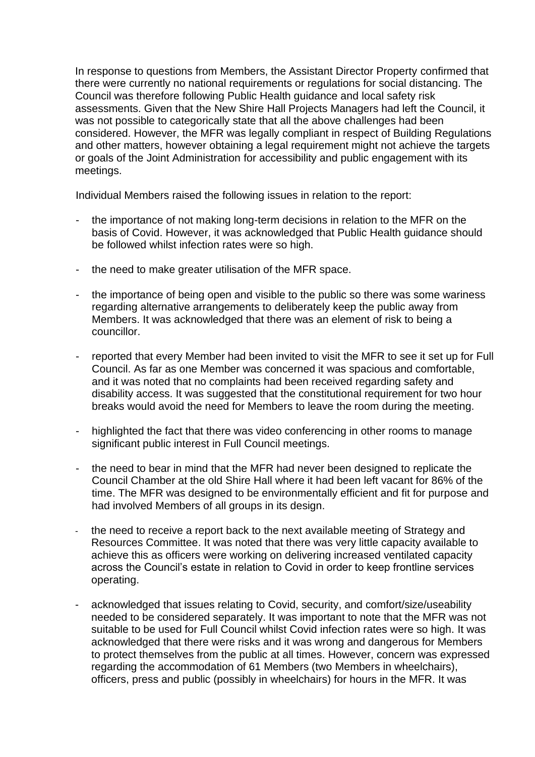In response to questions from Members, the Assistant Director Property confirmed that there were currently no national requirements or regulations for social distancing. The Council was therefore following Public Health guidance and local safety risk assessments. Given that the New Shire Hall Projects Managers had left the Council, it was not possible to categorically state that all the above challenges had been considered. However, the MFR was legally compliant in respect of Building Regulations and other matters, however obtaining a legal requirement might not achieve the targets or goals of the Joint Administration for accessibility and public engagement with its meetings.

Individual Members raised the following issues in relation to the report:

- the importance of not making long-term decisions in relation to the MFR on the basis of Covid. However, it was acknowledged that Public Health guidance should be followed whilst infection rates were so high.
- the need to make greater utilisation of the MFR space.
- the importance of being open and visible to the public so there was some wariness regarding alternative arrangements to deliberately keep the public away from Members. It was acknowledged that there was an element of risk to being a councillor.
- reported that every Member had been invited to visit the MFR to see it set up for Full Council. As far as one Member was concerned it was spacious and comfortable, and it was noted that no complaints had been received regarding safety and disability access. It was suggested that the constitutional requirement for two hour breaks would avoid the need for Members to leave the room during the meeting.
- highlighted the fact that there was video conferencing in other rooms to manage significant public interest in Full Council meetings.
- the need to bear in mind that the MFR had never been designed to replicate the Council Chamber at the old Shire Hall where it had been left vacant for 86% of the time. The MFR was designed to be environmentally efficient and fit for purpose and had involved Members of all groups in its design.
- the need to receive a report back to the next available meeting of Strategy and Resources Committee. It was noted that there was very little capacity available to achieve this as officers were working on delivering increased ventilated capacity across the Council's estate in relation to Covid in order to keep frontline services operating.
- acknowledged that issues relating to Covid, security, and comfort/size/useability needed to be considered separately. It was important to note that the MFR was not suitable to be used for Full Council whilst Covid infection rates were so high. It was acknowledged that there were risks and it was wrong and dangerous for Members to protect themselves from the public at all times. However, concern was expressed regarding the accommodation of 61 Members (two Members in wheelchairs), officers, press and public (possibly in wheelchairs) for hours in the MFR. It was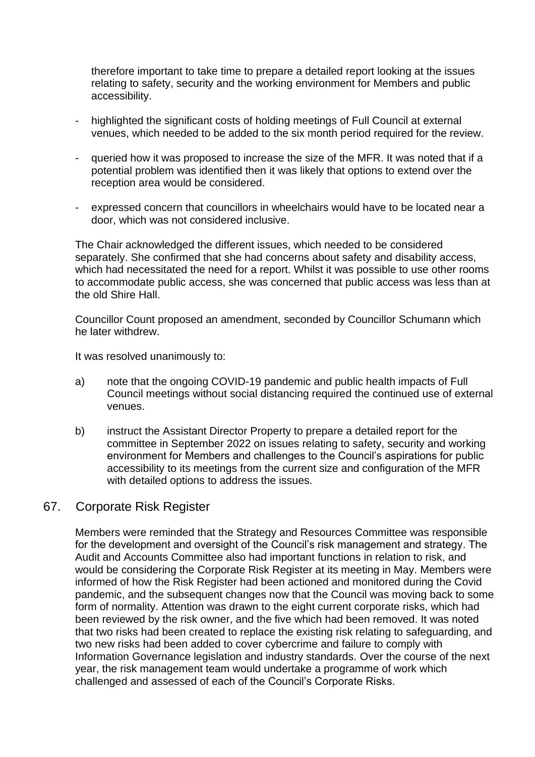therefore important to take time to prepare a detailed report looking at the issues relating to safety, security and the working environment for Members and public accessibility.

- highlighted the significant costs of holding meetings of Full Council at external venues, which needed to be added to the six month period required for the review.
- queried how it was proposed to increase the size of the MFR. It was noted that if a potential problem was identified then it was likely that options to extend over the reception area would be considered.
- expressed concern that councillors in wheelchairs would have to be located near a door, which was not considered inclusive.

The Chair acknowledged the different issues, which needed to be considered separately. She confirmed that she had concerns about safety and disability access, which had necessitated the need for a report. Whilst it was possible to use other rooms to accommodate public access, she was concerned that public access was less than at the old Shire Hall.

Councillor Count proposed an amendment, seconded by Councillor Schumann which he later withdrew.

It was resolved unanimously to:

- a) note that the ongoing COVID-19 pandemic and public health impacts of Full Council meetings without social distancing required the continued use of external venues.
- b) instruct the Assistant Director Property to prepare a detailed report for the committee in September 2022 on issues relating to safety, security and working environment for Members and challenges to the Council's aspirations for public accessibility to its meetings from the current size and configuration of the MFR with detailed options to address the issues.

### 67. Corporate Risk Register

Members were reminded that the Strategy and Resources Committee was responsible for the development and oversight of the Council's risk management and strategy. The Audit and Accounts Committee also had important functions in relation to risk, and would be considering the Corporate Risk Register at its meeting in May. Members were informed of how the Risk Register had been actioned and monitored during the Covid pandemic, and the subsequent changes now that the Council was moving back to some form of normality. Attention was drawn to the eight current corporate risks, which had been reviewed by the risk owner, and the five which had been removed. It was noted that two risks had been created to replace the existing risk relating to safeguarding, and two new risks had been added to cover cybercrime and failure to comply with Information Governance legislation and industry standards. Over the course of the next year, the risk management team would undertake a programme of work which challenged and assessed of each of the Council's Corporate Risks.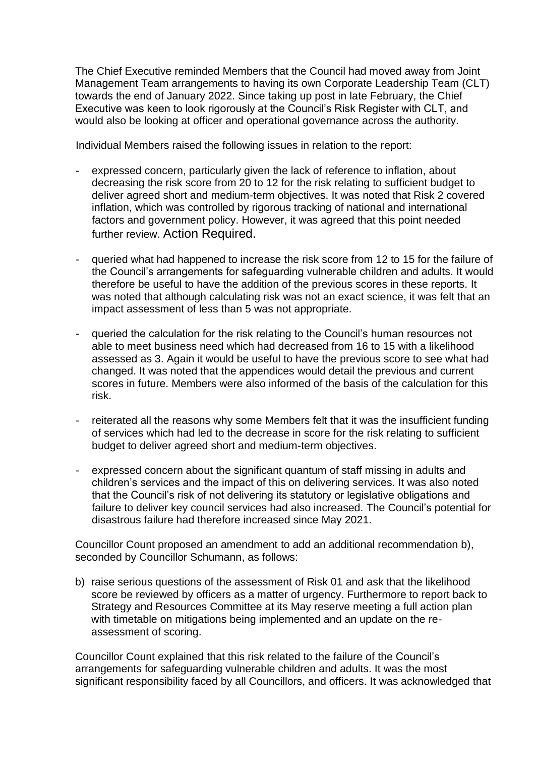The Chief Executive reminded Members that the Council had moved away from Joint Management Team arrangements to having its own Corporate Leadership Team (CLT) towards the end of January 2022. Since taking up post in late February, the Chief Executive was keen to look rigorously at the Council's Risk Register with CLT, and would also be looking at officer and operational governance across the authority.

Individual Members raised the following issues in relation to the report:

- expressed concern, particularly given the lack of reference to inflation, about decreasing the risk score from 20 to 12 for the risk relating to sufficient budget to deliver agreed short and medium-term objectives. It was noted that Risk 2 covered inflation, which was controlled by rigorous tracking of national and international factors and government policy. However, it was agreed that this point needed further review. Action Required.
- queried what had happened to increase the risk score from 12 to 15 for the failure of the Council's arrangements for safeguarding vulnerable children and adults. It would therefore be useful to have the addition of the previous scores in these reports. It was noted that although calculating risk was not an exact science, it was felt that an impact assessment of less than 5 was not appropriate.
- queried the calculation for the risk relating to the Council's human resources not able to meet business need which had decreased from 16 to 15 with a likelihood assessed as 3. Again it would be useful to have the previous score to see what had changed. It was noted that the appendices would detail the previous and current scores in future. Members were also informed of the basis of the calculation for this risk.
- reiterated all the reasons why some Members felt that it was the insufficient funding of services which had led to the decrease in score for the risk relating to sufficient budget to deliver agreed short and medium-term objectives.
- expressed concern about the significant quantum of staff missing in adults and children's services and the impact of this on delivering services. It was also noted that the Council's risk of not delivering its statutory or legislative obligations and failure to deliver key council services had also increased. The Council's potential for disastrous failure had therefore increased since May 2021.

Councillor Count proposed an amendment to add an additional recommendation b), seconded by Councillor Schumann, as follows:

b) raise serious questions of the assessment of Risk 01 and ask that the likelihood score be reviewed by officers as a matter of urgency. Furthermore to report back to Strategy and Resources Committee at its May reserve meeting a full action plan with timetable on mitigations being implemented and an update on the reassessment of scoring.

Councillor Count explained that this risk related to the failure of the Council's arrangements for safeguarding vulnerable children and adults. It was the most significant responsibility faced by all Councillors, and officers. It was acknowledged that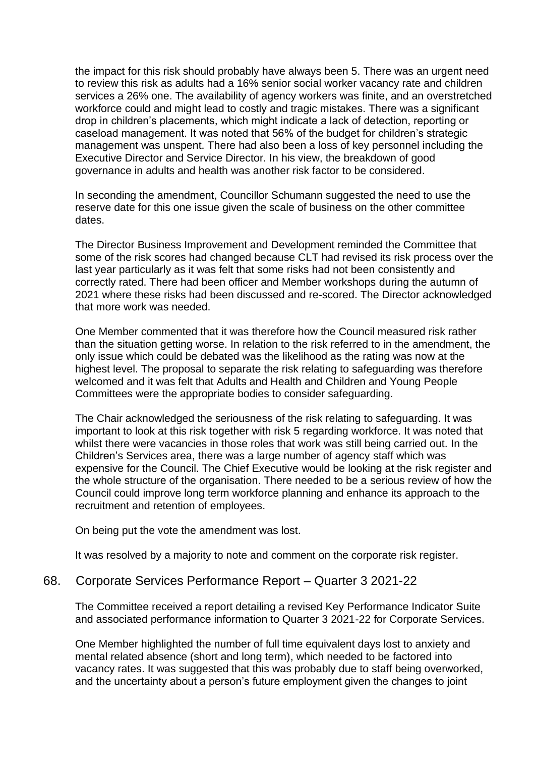the impact for this risk should probably have always been 5. There was an urgent need to review this risk as adults had a 16% senior social worker vacancy rate and children services a 26% one. The availability of agency workers was finite, and an overstretched workforce could and might lead to costly and tragic mistakes. There was a significant drop in children's placements, which might indicate a lack of detection, reporting or caseload management. It was noted that 56% of the budget for children's strategic management was unspent. There had also been a loss of key personnel including the Executive Director and Service Director. In his view, the breakdown of good governance in adults and health was another risk factor to be considered.

In seconding the amendment, Councillor Schumann suggested the need to use the reserve date for this one issue given the scale of business on the other committee dates.

The Director Business Improvement and Development reminded the Committee that some of the risk scores had changed because CLT had revised its risk process over the last year particularly as it was felt that some risks had not been consistently and correctly rated. There had been officer and Member workshops during the autumn of 2021 where these risks had been discussed and re-scored. The Director acknowledged that more work was needed.

One Member commented that it was therefore how the Council measured risk rather than the situation getting worse. In relation to the risk referred to in the amendment, the only issue which could be debated was the likelihood as the rating was now at the highest level. The proposal to separate the risk relating to safeguarding was therefore welcomed and it was felt that Adults and Health and Children and Young People Committees were the appropriate bodies to consider safeguarding.

The Chair acknowledged the seriousness of the risk relating to safeguarding. It was important to look at this risk together with risk 5 regarding workforce. It was noted that whilst there were vacancies in those roles that work was still being carried out. In the Children's Services area, there was a large number of agency staff which was expensive for the Council. The Chief Executive would be looking at the risk register and the whole structure of the organisation. There needed to be a serious review of how the Council could improve long term workforce planning and enhance its approach to the recruitment and retention of employees.

On being put the vote the amendment was lost.

It was resolved by a majority to note and comment on the corporate risk register.

#### 68. Corporate Services Performance Report – Quarter 3 2021-22

The Committee received a report detailing a revised Key Performance Indicator Suite and associated performance information to Quarter 3 2021-22 for Corporate Services.

One Member highlighted the number of full time equivalent days lost to anxiety and mental related absence (short and long term), which needed to be factored into vacancy rates. It was suggested that this was probably due to staff being overworked, and the uncertainty about a person's future employment given the changes to joint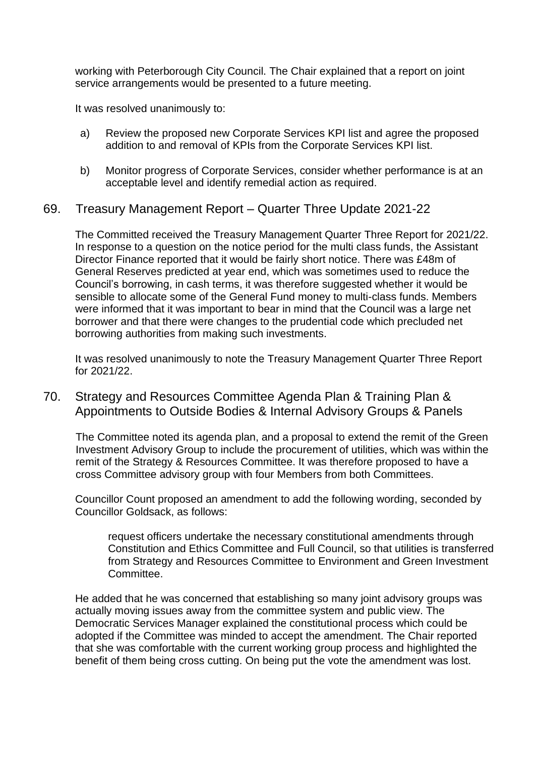working with Peterborough City Council. The Chair explained that a report on joint service arrangements would be presented to a future meeting.

It was resolved unanimously to:

- a) Review the proposed new Corporate Services KPI list and agree the proposed addition to and removal of KPIs from the Corporate Services KPI list.
- b) Monitor progress of Corporate Services, consider whether performance is at an acceptable level and identify remedial action as required.

### 69. Treasury Management Report – Quarter Three Update 2021-22

The Committed received the Treasury Management Quarter Three Report for 2021/22. In response to a question on the notice period for the multi class funds, the Assistant Director Finance reported that it would be fairly short notice. There was £48m of General Reserves predicted at year end, which was sometimes used to reduce the Council's borrowing, in cash terms, it was therefore suggested whether it would be sensible to allocate some of the General Fund money to multi-class funds. Members were informed that it was important to bear in mind that the Council was a large net borrower and that there were changes to the prudential code which precluded net borrowing authorities from making such investments.

It was resolved unanimously to note the Treasury Management Quarter Three Report for 2021/22.

### 70. Strategy and Resources Committee Agenda Plan & Training Plan & Appointments to Outside Bodies & Internal Advisory Groups & Panels

The Committee noted its agenda plan, and a proposal to extend the remit of the Green Investment Advisory Group to include the procurement of utilities, which was within the remit of the Strategy & Resources Committee. It was therefore proposed to have a cross Committee advisory group with four Members from both Committees.

Councillor Count proposed an amendment to add the following wording, seconded by Councillor Goldsack, as follows:

request officers undertake the necessary constitutional amendments through Constitution and Ethics Committee and Full Council, so that utilities is transferred from Strategy and Resources Committee to Environment and Green Investment Committee.

He added that he was concerned that establishing so many joint advisory groups was actually moving issues away from the committee system and public view. The Democratic Services Manager explained the constitutional process which could be adopted if the Committee was minded to accept the amendment. The Chair reported that she was comfortable with the current working group process and highlighted the benefit of them being cross cutting. On being put the vote the amendment was lost.